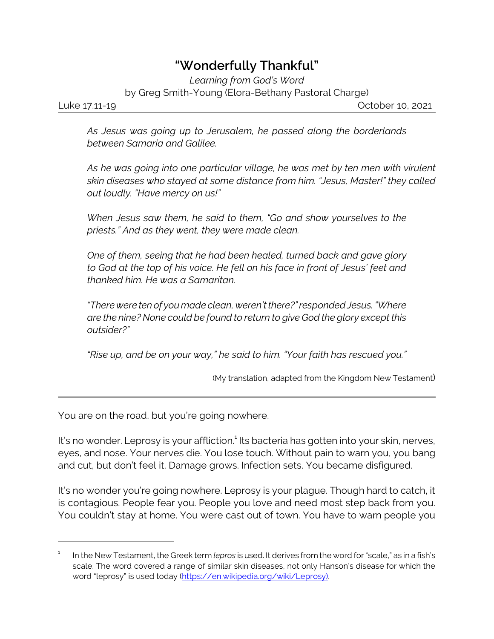## **"Wonderfully Thankful"**

*Learning from God's Word* by Greg Smith-Young (Elora-Bethany Pastoral Charge)

Luke 17.11-19 October 10, 2021

*As Jesus was going up to Jerusalem, he passed along the borderlands between Samaria and Galilee.* 

*As he was going into one particular village, he was met by ten men with virulent skin diseases who stayed at some distance from him. "Jesus, Master!" they called out loudly. "Have mercy on us!"*

*When Jesus saw them, he said to them, "Go and show yourselves to the priests." And as they went, they were made clean.*

*One of them, seeing that he had been healed, turned back and gave glory to God at the top of his voice. He fell on his face in front of Jesus' feet and thanked him. He was a Samaritan.*

*"There were ten of you made clean, weren't there?" responded Jesus. "Where are the nine? None could be found to return to give God the glory except this outsider?"*

*"Rise up, and be on your way," he said to him. "Your faith has rescued you."*

(My translation, adapted from the Kingdom New Testament)

You are on the road, but you're going nowhere.

It's no wonder. Leprosy is your affliction.<sup>1</sup> Its bacteria has gotten into your skin, nerves, eyes, and nose. Your nerves die. You lose touch. Without pain to warn you, you bang and cut, but don't feel it. Damage grows. Infection sets. You became disfigured.

It's no wonder you're going nowhere. Leprosy is your plague. Though hard to catch, it is contagious. People fear you. People you love and need most step back from you. You couldn't stay at home. You were cast out of town. You have to warn people you

<sup>1</sup> In the New Testament, the Greek term *lepros* is used. It derives from the word for "scale," as in a fish's scale. The word covered a range of similar skin diseases, not only Hanson's disease for which the word "leprosy" is used today [\(https://en.wikipedia.org/wiki/Leprosy\)]((https://en.wikipedia.org/wiki/Leprosy)).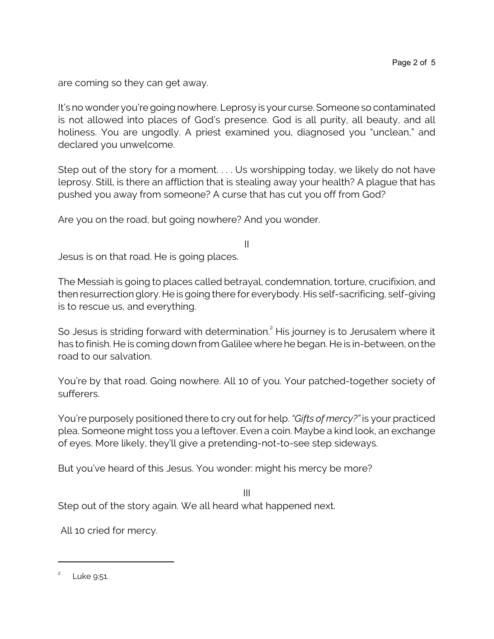are coming so they can get away.

It's no wonder you're going nowhere. Leprosy is your curse. Someone so contaminated is not allowed into places of God's presence. God is all purity, all beauty, and all holiness. You are ungodly. A priest examined you, diagnosed you "unclean," and declared you unwelcome.

Step out of the story for a moment. . . . Us worshipping today, we likely do not have leprosy. Still, is there an affliction that is stealing away your health? A plague that has pushed you away from someone? A curse that has cut you off from God?

Are you on the road, but going nowhere? And you wonder.

Jesus is on that road. He is going places.

The Messiah is going to places called betrayal, condemnation, torture, crucifixion, and then resurrectionglory. He is going there for everybody. His self-sacrificing, self-giving is to rescue us, and everything.

II

So Jesus is striding forward with determination. $^2$  His journey is to Jerusalem where it has to finish. He is coming down from Galilee where he began. He is in-between, on the road to our salvation.

You're by that road. Going nowhere. All 10 of you. Your patched-together society of sufferers.

You're purposely positioned there to cry out for help. *"Gifts of mercy?"* is your practiced plea. Someone might toss you a leftover. Even a coin. Maybe a kind look, an exchange of eyes. More likely, they'll give a pretending-not-to-see step sideways.

But you've heard of this Jesus. You wonder: might his mercy be more?

III Step out of the story again. We all heard what happened next.

All 10 cried for mercy.

<sup>2</sup> Luke 9:51.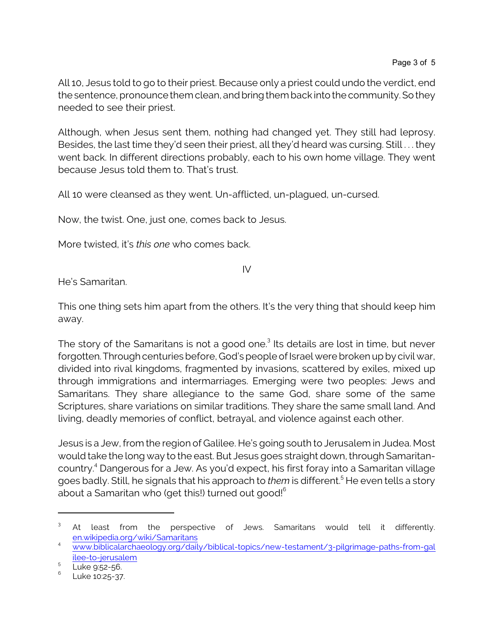All 10, Jesus told to go to their priest. Because only a priest could undo the verdict, end the sentence, pronounce them clean, and bring them back into the community. So they needed to see their priest.

Although, when Jesus sent them, nothing had changed yet. They still had leprosy. Besides, the last time they'd seen their priest, all they'd heard was cursing. Still . . . they went back. In different directions probably, each to his own home village. They went because Jesus told them to. That's trust.

All 10 were cleansed as they went. Un-afflicted, un-plagued, un-cursed.

Now, the twist. One, just one, comes back to Jesus.

More twisted, it's *this one* who comes back.

IV

He's Samaritan.

This one thing sets him apart from the others. It's the very thing that should keep him away.

The story of the Samaritans is not a good one.<sup>3</sup> Its details are lost in time, but never forgotten. Through centuries before, God's people of Israel were broken up by civil war, divided into rival kingdoms, fragmented by invasions, scattered by exiles, mixed up through immigrations and intermarriages. Emerging were two peoples: Jews and Samaritans. They share allegiance to the same God, share some of the same Scriptures, share variations on similar traditions. They share the same small land. And living, deadly memories of conflict, betrayal, and violence against each other.

Jesus is a Jew, from the region of Galilee. He's going south to Jerusalem in Judea. Most would take the long way to the east. But Jesus goes straight down, through Samaritancountry. 4 Dangerous for a Jew. As you'd expect, his first foray into a Samaritan village goes badly. Still, he signals that his approach to *them* is different. <sup>5</sup> He even tells a story about a Samaritan who (get this!) turned out good! $^6$ 

<sup>3</sup> At least from the perspective of Jews. Samaritans would tell it differently. [en.wikipedia.org/wiki/Samaritans](https://en.wikipedia.org/wiki/Samaritans)

<sup>4</sup> [www.biblicalarchaeology.org/daily/biblical-topics/new-testament/3-pilgrimage-paths-from-gal](https://www.biblicalarchaeology.org/daily/biblical-topics/new-testament/3-pilgrimage-paths-from-galilee-to-jerusalem/) [ilee-to-jerusalem](https://www.biblicalarchaeology.org/daily/biblical-topics/new-testament/3-pilgrimage-paths-from-galilee-to-jerusalem/) <sup>5</sup>

<sup>&</sup>lt;sup>5</sup> Luke 9:52-56.<br><sup>6</sup> Luke 19:25.27

Luke 10:25-37.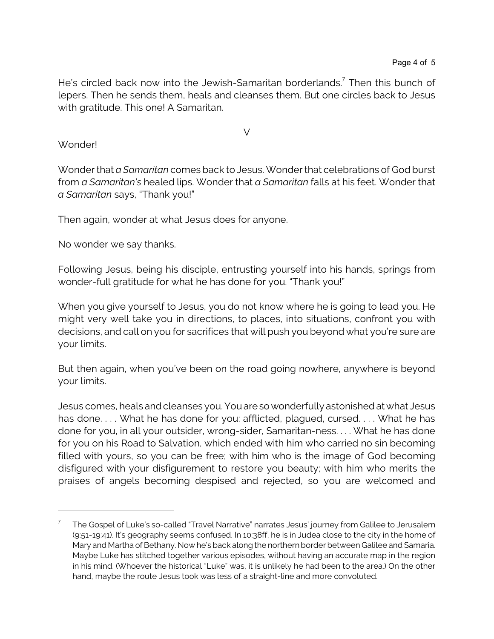He's circled back now into the Jewish-Samaritan borderlands.<sup>7</sup> Then this bunch of lepers. Then he sends them, heals and cleanses them. But one circles back to Jesus with gratitude. This one! A Samaritan.

## V

## Wonder!

Wonder that *a Samaritan* comes back to Jesus. Wonder that celebrations of God burst from *a Samaritan's* healed lips. Wonder that *a Samaritan* falls at his feet. Wonder that *a Samaritan* says, "Thank you!"

Then again, wonder at what Jesus does for anyone.

No wonder we say thanks.

Following Jesus, being his disciple, entrusting yourself into his hands, springs from wonder-full gratitude for what he has done for you. "Thank you!"

When you give yourself to Jesus, you do not know where he is going to lead you. He might very well take you in directions, to places, into situations, confront you with decisions, and call on you for sacrifices that will push you beyond what you're sure are your limits.

But then again, when you've been on the road going nowhere, anywhere is beyond your limits.

Jesus comes, heals and cleanses you. Youareso wonderfully astonished at what Jesus has done.... What he has done for you: afflicted, plagued, cursed.... What he has done for you, in all your outsider, wrong-sider, Samaritan-ness. . . . What he has done for you on his Road to Salvation, which ended with him who carried no sin becoming filled with yours, so you can be free; with him who is the image of God becoming disfigured with your disfigurement to restore you beauty; with him who merits the praises of angels becoming despised and rejected, so you are welcomed and

<sup>7</sup> The Gospel of Luke's so-called "Travel Narrative" narrates Jesus' journey from Galilee to Jerusalem (9:51-19:41). It's geography seems confused. In 10:38ff, he is in Judea close to the city in the home of Mary and Martha of Bethany. Now he's back along the northern border between Galilee and Samaria. Maybe Luke has stitched together various episodes, without having an accurate map in the region in his mind. (Whoever the historical "Luke" was, it is unlikely he had been to the area.) On the other hand, maybe the route Jesus took was less of a straight-line and more convoluted.